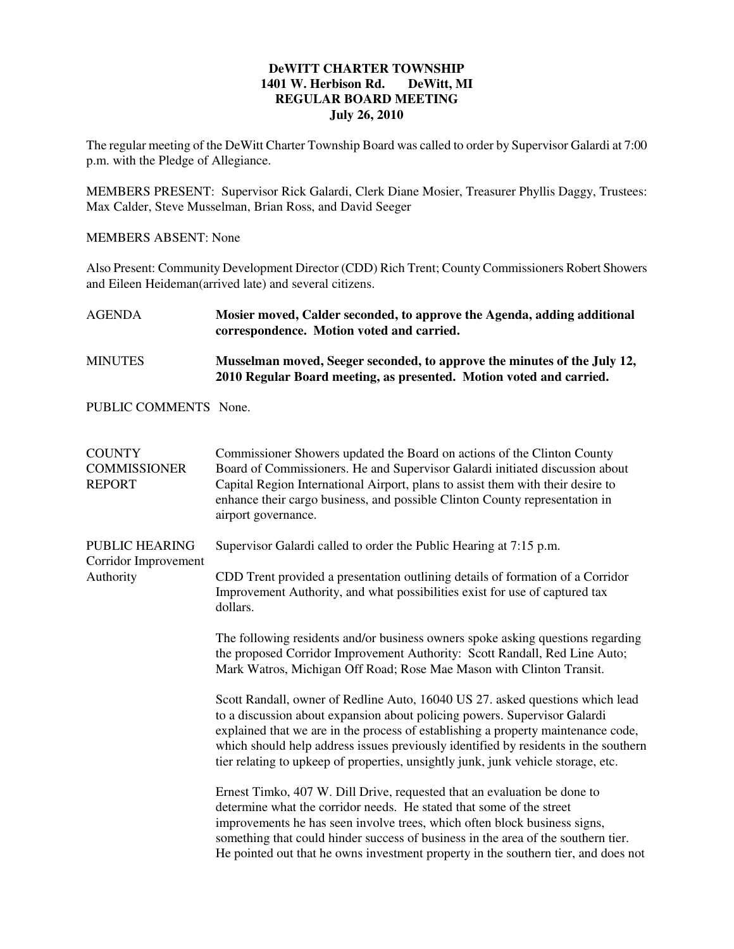## **DeWITT CHARTER TOWNSHIP 1401 W. Herbison Rd. DeWitt, MI REGULAR BOARD MEETING July 26, 2010**

The regular meeting of the DeWitt Charter Township Board was called to order by Supervisor Galardi at 7:00 p.m. with the Pledge of Allegiance.

MEMBERS PRESENT: Supervisor Rick Galardi, Clerk Diane Mosier, Treasurer Phyllis Daggy, Trustees: Max Calder, Steve Musselman, Brian Ross, and David Seeger

MEMBERS ABSENT: None

Also Present: Community Development Director (CDD) Rich Trent; County Commissioners Robert Showers and Eileen Heideman(arrived late) and several citizens.

| <b>AGENDA</b>                                         | Mosier moved, Calder seconded, to approve the Agenda, adding additional<br>correspondence. Motion voted and carried.                                                                                                                                                                                                                                                                                                        |
|-------------------------------------------------------|-----------------------------------------------------------------------------------------------------------------------------------------------------------------------------------------------------------------------------------------------------------------------------------------------------------------------------------------------------------------------------------------------------------------------------|
| <b>MINUTES</b>                                        | Musselman moved, Seeger seconded, to approve the minutes of the July 12,<br>2010 Regular Board meeting, as presented. Motion voted and carried.                                                                                                                                                                                                                                                                             |
| PUBLIC COMMENTS None.                                 |                                                                                                                                                                                                                                                                                                                                                                                                                             |
| <b>COUNTY</b><br><b>COMMISSIONER</b><br><b>REPORT</b> | Commissioner Showers updated the Board on actions of the Clinton County<br>Board of Commissioners. He and Supervisor Galardi initiated discussion about<br>Capital Region International Airport, plans to assist them with their desire to<br>enhance their cargo business, and possible Clinton County representation in<br>airport governance.                                                                            |
| PUBLIC HEARING<br>Corridor Improvement<br>Authority   | Supervisor Galardi called to order the Public Hearing at 7:15 p.m.<br>CDD Trent provided a presentation outlining details of formation of a Corridor<br>Improvement Authority, and what possibilities exist for use of captured tax<br>dollars.                                                                                                                                                                             |
|                                                       | The following residents and/or business owners spoke asking questions regarding<br>the proposed Corridor Improvement Authority: Scott Randall, Red Line Auto;<br>Mark Watros, Michigan Off Road; Rose Mae Mason with Clinton Transit.                                                                                                                                                                                       |
|                                                       | Scott Randall, owner of Redline Auto, 16040 US 27. asked questions which lead<br>to a discussion about expansion about policing powers. Supervisor Galardi<br>explained that we are in the process of establishing a property maintenance code,<br>which should help address issues previously identified by residents in the southern<br>tier relating to upkeep of properties, unsightly junk, junk vehicle storage, etc. |
|                                                       | Ernest Timko, 407 W. Dill Drive, requested that an evaluation be done to<br>determine what the corridor needs. He stated that some of the street<br>improvements he has seen involve trees, which often block business signs,<br>something that could hinder success of business in the area of the southern tier.<br>He pointed out that he owns investment property in the southern tier, and does not                    |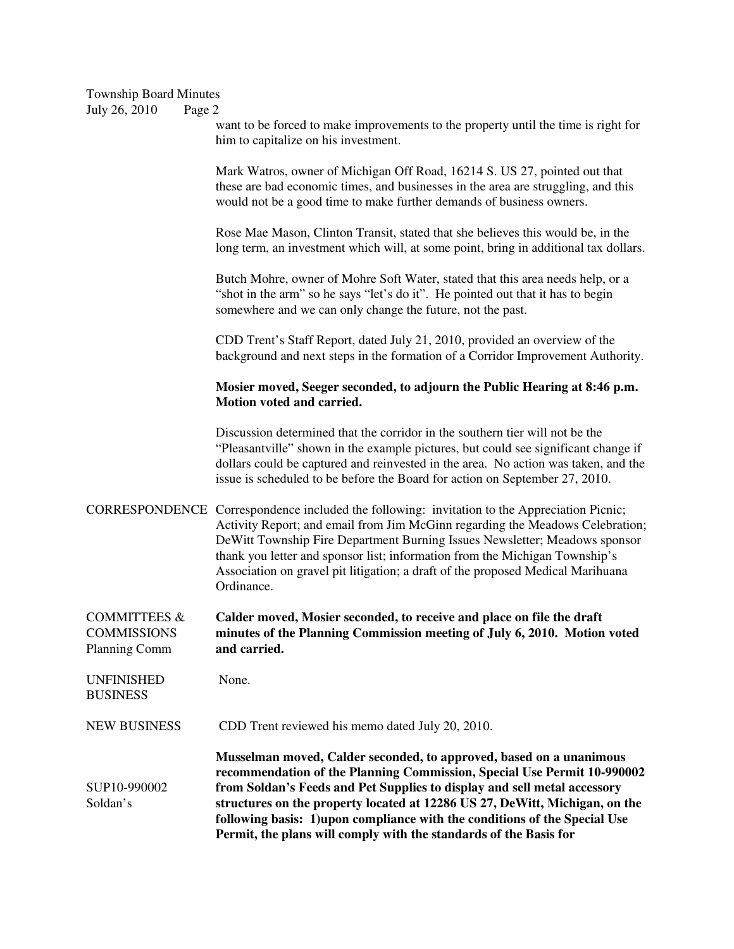## Township Board Minutes

July 26, 2010 Page 2

want to be forced to make improvements to the property until the time is right for him to capitalize on his investment.

Mark Watros, owner of Michigan Off Road, 16214 S. US 27, pointed out that these are bad economic times, and businesses in the area are struggling, and this would not be a good time to make further demands of business owners.

Rose Mae Mason, Clinton Transit, stated that she believes this would be, in the long term, an investment which will, at some point, bring in additional tax dollars.

Butch Mohre, owner of Mohre Soft Water, stated that this area needs help, or a "shot in the arm" so he says "let's do it". He pointed out that it has to begin somewhere and we can only change the future, not the past.

CDD Trent's Staff Report, dated July 21, 2010, provided an overview of the background and next steps in the formation of a Corridor Improvement Authority.

## **Mosier moved, Seeger seconded, to adjourn the Public Hearing at 8:46 p.m. Motion voted and carried.**

Discussion determined that the corridor in the southern tier will not be the "Pleasantville" shown in the example pictures, but could see significant change if dollars could be captured and reinvested in the area. No action was taken, and the issue is scheduled to be before the Board for action on September 27, 2010.

CORRESPONDENCE Correspondence included the following: invitation to the Appreciation Picnic; Activity Report; and email from Jim McGinn regarding the Meadows Celebration; DeWitt Township Fire Department Burning Issues Newsletter; Meadows sponsor thank you letter and sponsor list; information from the Michigan Township's Association on gravel pit litigation; a draft of the proposed Medical Marihuana Ordinance.

| <b>COMMITTEES &amp;</b> | Calder moved, Mosier seconded, to receive and place on file the draft    |
|-------------------------|--------------------------------------------------------------------------|
| <b>COMMISSIONS</b>      | minutes of the Planning Commission meeting of July 6, 2010. Motion voted |
| Planning Comm           | and carried.                                                             |
|                         |                                                                          |

UNFINISHED None. **BUSINESS** 

NEW BUSINESS CDD Trent reviewed his memo dated July 20, 2010.

**Musselman moved, Calder seconded, to approved, based on a unanimous recommendation of the Planning Commission, Special Use Permit 10-990002**  SUP10-990002 **from Soldan's Feeds and Pet Supplies to display and sell metal accessory**  Soldan's **structures on the property located at 12286 US 27, DeWitt, Michigan, on the following basis: 1)upon compliance with the conditions of the Special Use Permit, the plans will comply with the standards of the Basis for**